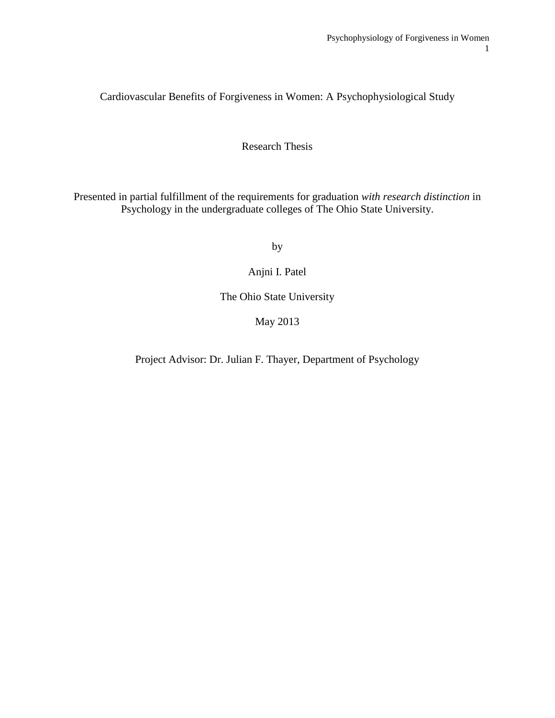# Cardiovascular Benefits of Forgiveness in Women: A Psychophysiological Study

Research Thesis

Presented in partial fulfillment of the requirements for graduation *with research distinction* in Psychology in the undergraduate colleges of The Ohio State University.

by

Anjni I. Patel

The Ohio State University

May 2013

Project Advisor: Dr. Julian F. Thayer, Department of Psychology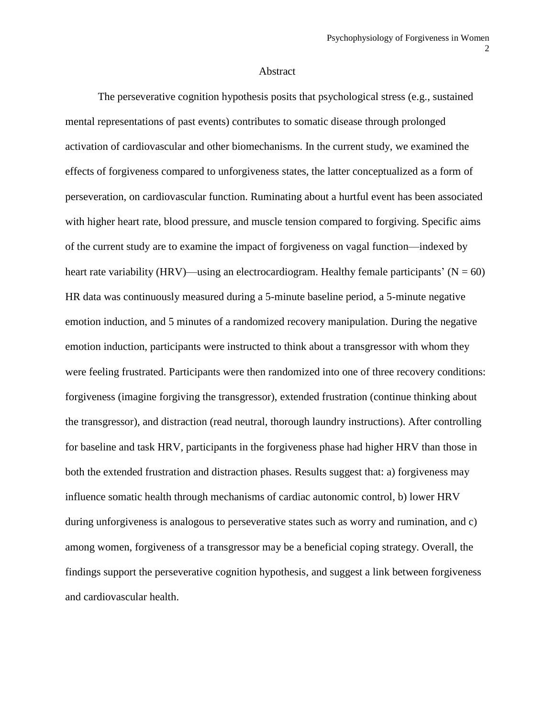### Abstract

The perseverative cognition hypothesis posits that psychological stress (e.g., sustained mental representations of past events) contributes to somatic disease through prolonged activation of cardiovascular and other biomechanisms. In the current study, we examined the effects of forgiveness compared to unforgiveness states, the latter conceptualized as a form of perseveration, on cardiovascular function. Ruminating about a hurtful event has been associated with higher heart rate, blood pressure, and muscle tension compared to forgiving. Specific aims of the current study are to examine the impact of forgiveness on vagal function—indexed by heart rate variability (HRV)—using an electrocardiogram. Healthy female participants' ( $N = 60$ ) HR data was continuously measured during a 5-minute baseline period, a 5-minute negative emotion induction, and 5 minutes of a randomized recovery manipulation. During the negative emotion induction, participants were instructed to think about a transgressor with whom they were feeling frustrated. Participants were then randomized into one of three recovery conditions: forgiveness (imagine forgiving the transgressor), extended frustration (continue thinking about the transgressor), and distraction (read neutral, thorough laundry instructions). After controlling for baseline and task HRV, participants in the forgiveness phase had higher HRV than those in both the extended frustration and distraction phases. Results suggest that: a) forgiveness may influence somatic health through mechanisms of cardiac autonomic control, b) lower HRV during unforgiveness is analogous to perseverative states such as worry and rumination, and c) among women, forgiveness of a transgressor may be a beneficial coping strategy. Overall, the findings support the perseverative cognition hypothesis, and suggest a link between forgiveness and cardiovascular health.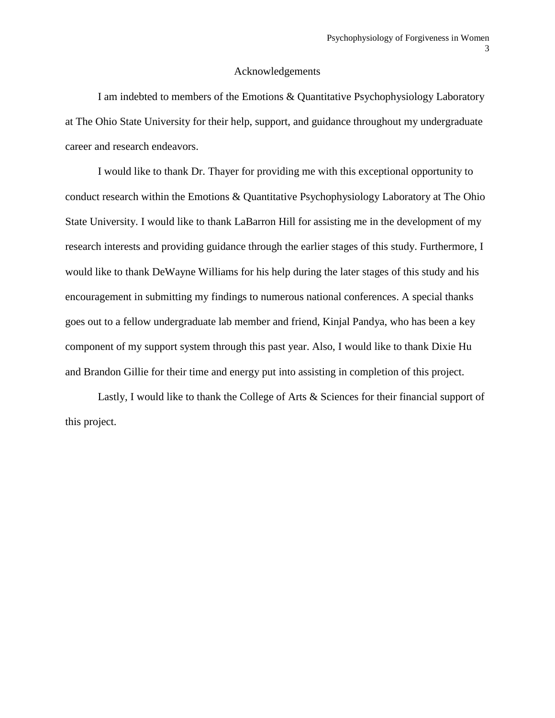### Acknowledgements

I am indebted to members of the Emotions & Quantitative Psychophysiology Laboratory at The Ohio State University for their help, support, and guidance throughout my undergraduate career and research endeavors.

I would like to thank Dr. Thayer for providing me with this exceptional opportunity to conduct research within the Emotions & Quantitative Psychophysiology Laboratory at The Ohio State University. I would like to thank LaBarron Hill for assisting me in the development of my research interests and providing guidance through the earlier stages of this study. Furthermore, I would like to thank DeWayne Williams for his help during the later stages of this study and his encouragement in submitting my findings to numerous national conferences. A special thanks goes out to a fellow undergraduate lab member and friend, Kinjal Pandya, who has been a key component of my support system through this past year. Also, I would like to thank Dixie Hu and Brandon Gillie for their time and energy put into assisting in completion of this project.

Lastly, I would like to thank the College of Arts & Sciences for their financial support of this project.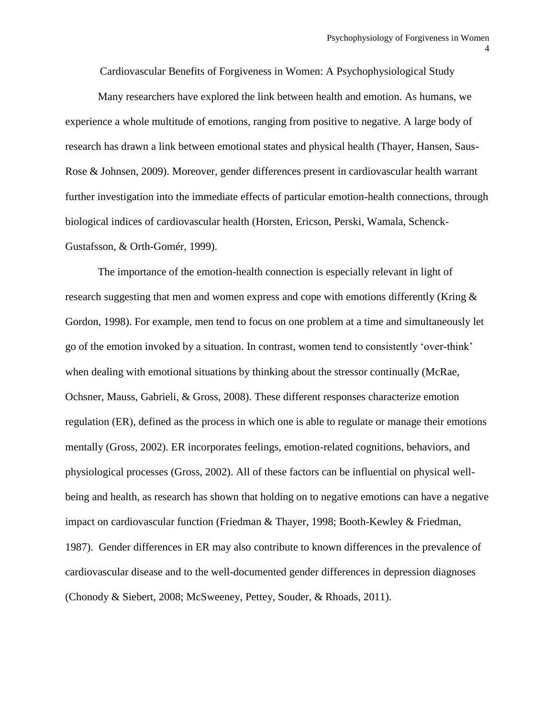Cardiovascular Benefits of Forgiveness in Women: A Psychophysiological Study

Many researchers have explored the link between health and emotion. As humans, we experience a whole multitude of emotions, ranging from positive to negative. A large body of research has drawn a link between emotional states and physical health (Thayer, Hansen, Saus-Rose & Johnsen, 2009). Moreover, gender differences present in cardiovascular health warrant further investigation into the immediate effects of particular emotion-health connections, through biological indices of cardiovascular health (Horsten, Ericson, Perski, Wamala, Schenck-Gustafsson, & Orth-Gomér, 1999).

The importance of the emotion-health connection is especially relevant in light of research suggesting that men and women express and cope with emotions differently (Kring & Gordon, 1998). For example, men tend to focus on one problem at a time and simultaneously let go of the emotion invoked by a situation. In contrast, women tend to consistently 'over-think' when dealing with emotional situations by thinking about the stressor continually (McRae, Ochsner, Mauss, Gabrieli, & Gross, 2008). These different responses characterize emotion regulation (ER), defined as the process in which one is able to regulate or manage their emotions mentally (Gross, 2002). ER incorporates feelings, emotion-related cognitions, behaviors, and physiological processes (Gross, 2002). All of these factors can be influential on physical wellbeing and health, as research has shown that holding on to negative emotions can have a negative impact on cardiovascular function (Friedman & Thayer, 1998; Booth-Kewley & Friedman, 1987). Gender differences in ER may also contribute to known differences in the prevalence of cardiovascular disease and to the well-documented gender differences in depression diagnoses (Chonody & Siebert, 2008; McSweeney, Pettey, Souder, & Rhoads, 2011).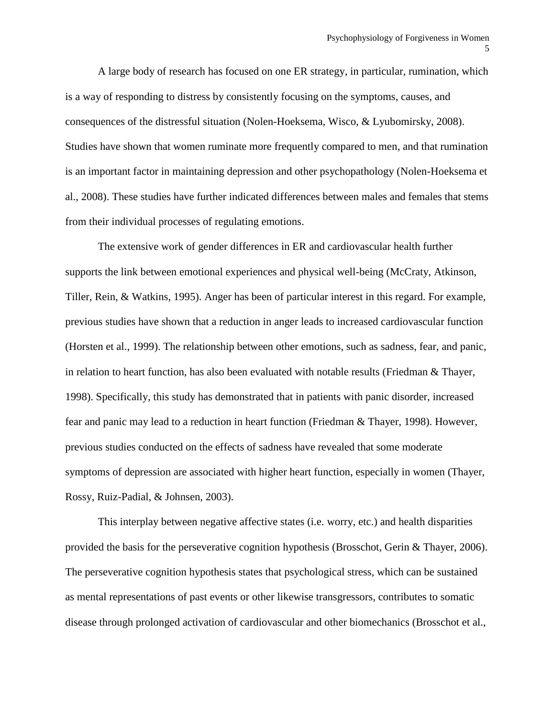A large body of research has focused on one ER strategy, in particular, rumination, which is a way of responding to distress by consistently focusing on the symptoms, causes, and consequences of the distressful situation (Nolen-Hoeksema, Wisco, & Lyubomirsky, 2008). Studies have shown that women ruminate more frequently compared to men, and that rumination is an important factor in maintaining depression and other psychopathology (Nolen-Hoeksema et al., 2008). These studies have further indicated differences between males and females that stems from their individual processes of regulating emotions.

The extensive work of gender differences in ER and cardiovascular health further supports the link between emotional experiences and physical well-being (McCraty, Atkinson, Tiller, Rein, & Watkins, 1995). Anger has been of particular interest in this regard. For example, previous studies have shown that a reduction in anger leads to increased cardiovascular function (Horsten et al., 1999). The relationship between other emotions, such as sadness, fear, and panic, in relation to heart function, has also been evaluated with notable results (Friedman & Thayer, 1998). Specifically, this study has demonstrated that in patients with panic disorder, increased fear and panic may lead to a reduction in heart function (Friedman & Thayer, 1998). However, previous studies conducted on the effects of sadness have revealed that some moderate symptoms of depression are associated with higher heart function, especially in women (Thayer, Rossy, Ruiz-Padial, & Johnsen, 2003).

This interplay between negative affective states (i.e. worry, etc.) and health disparities provided the basis for the perseverative cognition hypothesis (Brosschot, Gerin & Thayer, 2006). The perseverative cognition hypothesis states that psychological stress, which can be sustained as mental representations of past events or other likewise transgressors, contributes to somatic disease through prolonged activation of cardiovascular and other biomechanics (Brosschot et al.,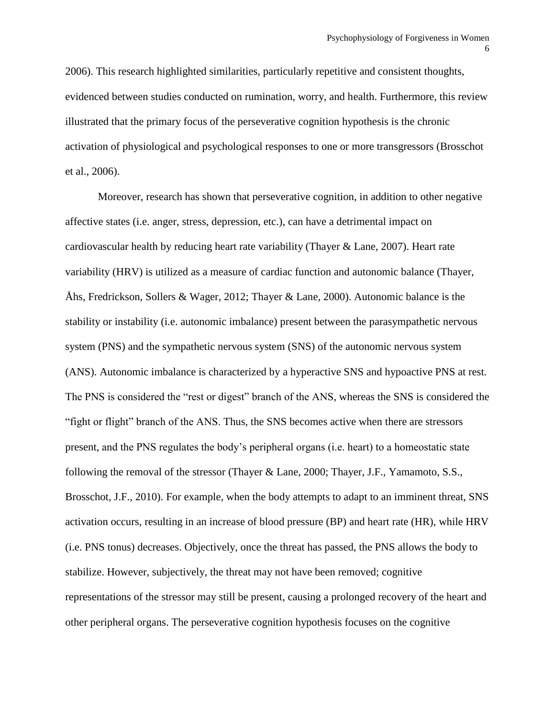2006). This research highlighted similarities, particularly repetitive and consistent thoughts, evidenced between studies conducted on rumination, worry, and health. Furthermore, this review illustrated that the primary focus of the perseverative cognition hypothesis is the chronic activation of physiological and psychological responses to one or more transgressors (Brosschot et al., 2006).

Moreover, research has shown that perseverative cognition, in addition to other negative affective states (i.e. anger, stress, depression, etc.), can have a detrimental impact on cardiovascular health by reducing heart rate variability (Thayer & Lane, 2007). Heart rate variability (HRV) is utilized as a measure of cardiac function and autonomic balance (Thayer, Åhs, Fredrickson, Sollers & Wager, 2012; Thayer & Lane, 2000). Autonomic balance is the stability or instability (i.e. autonomic imbalance) present between the parasympathetic nervous system (PNS) and the sympathetic nervous system (SNS) of the autonomic nervous system (ANS). Autonomic imbalance is characterized by a hyperactive SNS and hypoactive PNS at rest. The PNS is considered the "rest or digest" branch of the ANS, whereas the SNS is considered the "fight or flight" branch of the ANS. Thus, the SNS becomes active when there are stressors present, and the PNS regulates the body's peripheral organs (i.e. heart) to a homeostatic state following the removal of the stressor (Thayer & Lane, 2000; Thayer, J.F., Yamamoto, S.S., Brosschot, J.F., 2010). For example, when the body attempts to adapt to an imminent threat, SNS activation occurs, resulting in an increase of blood pressure (BP) and heart rate (HR), while HRV (i.e. PNS tonus) decreases. Objectively, once the threat has passed, the PNS allows the body to stabilize. However, subjectively, the threat may not have been removed; cognitive representations of the stressor may still be present, causing a prolonged recovery of the heart and other peripheral organs. The perseverative cognition hypothesis focuses on the cognitive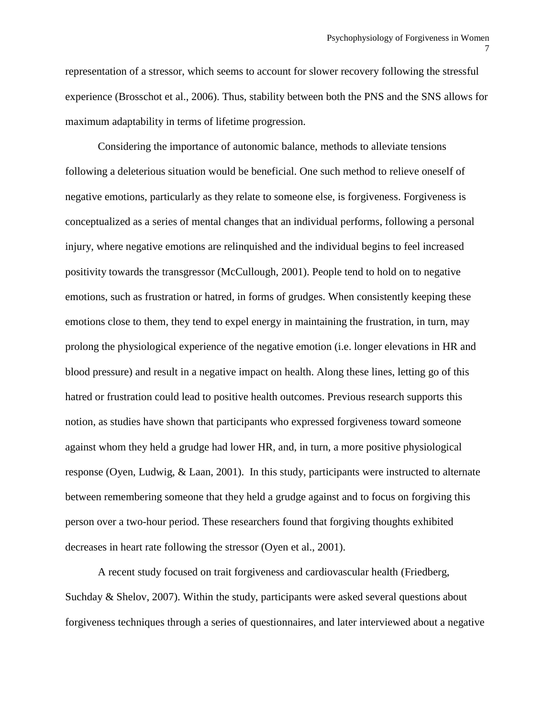representation of a stressor, which seems to account for slower recovery following the stressful experience (Brosschot et al., 2006). Thus, stability between both the PNS and the SNS allows for maximum adaptability in terms of lifetime progression.

Considering the importance of autonomic balance, methods to alleviate tensions following a deleterious situation would be beneficial. One such method to relieve oneself of negative emotions, particularly as they relate to someone else, is forgiveness. Forgiveness is conceptualized as a series of mental changes that an individual performs, following a personal injury, where negative emotions are relinquished and the individual begins to feel increased positivity towards the transgressor (McCullough, 2001). People tend to hold on to negative emotions, such as frustration or hatred, in forms of grudges. When consistently keeping these emotions close to them, they tend to expel energy in maintaining the frustration, in turn, may prolong the physiological experience of the negative emotion (i.e. longer elevations in HR and blood pressure) and result in a negative impact on health. Along these lines, letting go of this hatred or frustration could lead to positive health outcomes. Previous research supports this notion, as studies have shown that participants who expressed forgiveness toward someone against whom they held a grudge had lower HR, and, in turn, a more positive physiological response (Oyen, Ludwig, & Laan, 2001). In this study, participants were instructed to alternate between remembering someone that they held a grudge against and to focus on forgiving this person over a two-hour period. These researchers found that forgiving thoughts exhibited decreases in heart rate following the stressor (Oyen et al., 2001).

A recent study focused on trait forgiveness and cardiovascular health (Friedberg, Suchday & Shelov, 2007). Within the study, participants were asked several questions about forgiveness techniques through a series of questionnaires, and later interviewed about a negative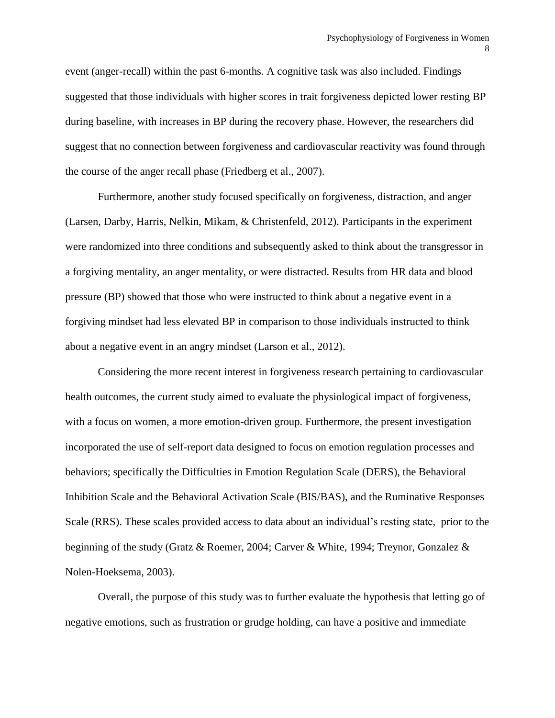event (anger-recall) within the past 6-months. A cognitive task was also included. Findings suggested that those individuals with higher scores in trait forgiveness depicted lower resting BP during baseline, with increases in BP during the recovery phase. However, the researchers did suggest that no connection between forgiveness and cardiovascular reactivity was found through the course of the anger recall phase (Friedberg et al., 2007).

Furthermore, another study focused specifically on forgiveness, distraction, and anger (Larsen, Darby, Harris, Nelkin, Mikam, & Christenfeld, 2012). Participants in the experiment were randomized into three conditions and subsequently asked to think about the transgressor in a forgiving mentality, an anger mentality, or were distracted. Results from HR data and blood pressure (BP) showed that those who were instructed to think about a negative event in a forgiving mindset had less elevated BP in comparison to those individuals instructed to think about a negative event in an angry mindset (Larson et al., 2012).

Considering the more recent interest in forgiveness research pertaining to cardiovascular health outcomes, the current study aimed to evaluate the physiological impact of forgiveness, with a focus on women, a more emotion-driven group. Furthermore, the present investigation incorporated the use of self-report data designed to focus on emotion regulation processes and behaviors; specifically the Difficulties in Emotion Regulation Scale (DERS), the Behavioral Inhibition Scale and the Behavioral Activation Scale (BIS/BAS), and the Ruminative Responses Scale (RRS). These scales provided access to data about an individual's resting state, prior to the beginning of the study (Gratz & Roemer, 2004; Carver & White, 1994; Treynor, Gonzalez & Nolen-Hoeksema, 2003).

 Overall, the purpose of this study was to further evaluate the hypothesis that letting go of negative emotions, such as frustration or grudge holding, can have a positive and immediate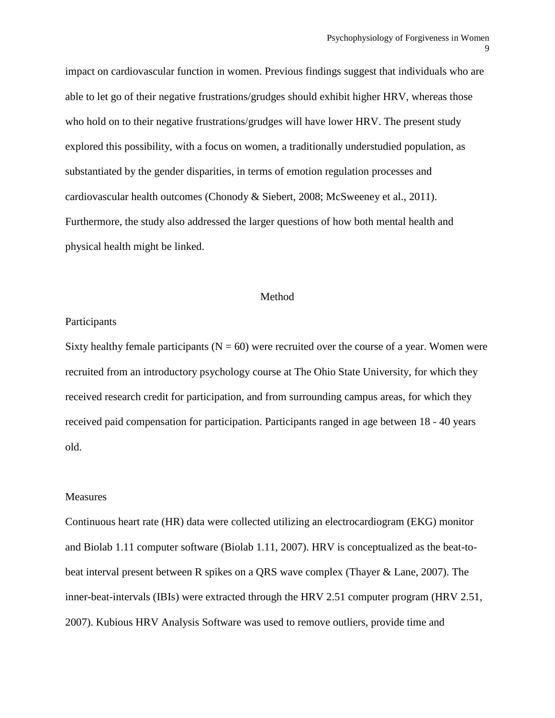impact on cardiovascular function in women. Previous findings suggest that individuals who are able to let go of their negative frustrations/grudges should exhibit higher HRV, whereas those who hold on to their negative frustrations/grudges will have lower HRV. The present study explored this possibility, with a focus on women, a traditionally understudied population, as substantiated by the gender disparities, in terms of emotion regulation processes and cardiovascular health outcomes (Chonody & Siebert, 2008; McSweeney et al., 2011). Furthermore, the study also addressed the larger questions of how both mental health and physical health might be linked.

#### Method

### Participants

Sixty healthy female participants ( $N = 60$ ) were recruited over the course of a year. Women were recruited from an introductory psychology course at The Ohio State University, for which they received research credit for participation, and from surrounding campus areas, for which they received paid compensation for participation. Participants ranged in age between 18 - 40 years old.

### Measures

Continuous heart rate (HR) data were collected utilizing an electrocardiogram (EKG) monitor and Biolab 1.11 computer software (Biolab 1.11, 2007). HRV is conceptualized as the beat-tobeat interval present between R spikes on a QRS wave complex (Thayer & Lane, 2007). The inner-beat-intervals (IBIs) were extracted through the HRV 2.51 computer program (HRV 2.51, 2007). Kubious HRV Analysis Software was used to remove outliers, provide time and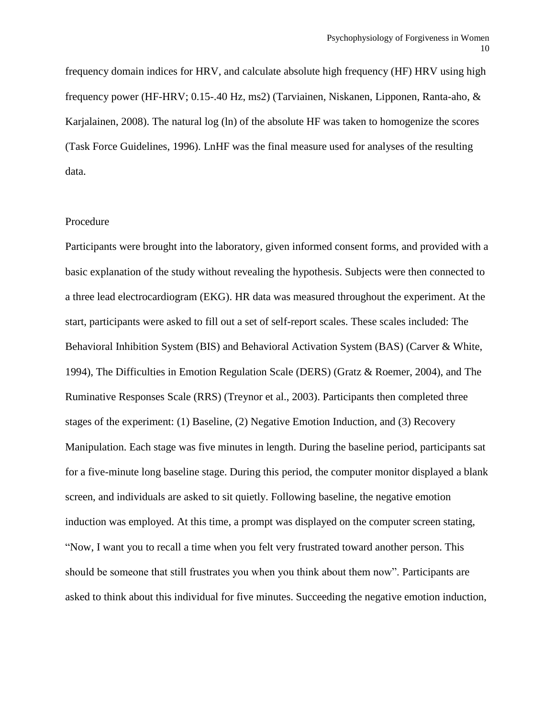frequency domain indices for HRV, and calculate absolute high frequency (HF) HRV using high frequency power (HF-HRV; 0.15-.40 Hz, ms2) (Tarviainen, Niskanen, Lipponen, Ranta-aho, & Karjalainen, 2008). The natural log (ln) of the absolute HF was taken to homogenize the scores (Task Force Guidelines, 1996). LnHF was the final measure used for analyses of the resulting data.

### Procedure

Participants were brought into the laboratory, given informed consent forms, and provided with a basic explanation of the study without revealing the hypothesis. Subjects were then connected to a three lead electrocardiogram (EKG). HR data was measured throughout the experiment. At the start, participants were asked to fill out a set of self-report scales. These scales included: The Behavioral Inhibition System (BIS) and Behavioral Activation System (BAS) (Carver & White, 1994), The Difficulties in Emotion Regulation Scale (DERS) (Gratz & Roemer, 2004), and The Ruminative Responses Scale (RRS) (Treynor et al., 2003). Participants then completed three stages of the experiment: (1) Baseline, (2) Negative Emotion Induction, and (3) Recovery Manipulation. Each stage was five minutes in length. During the baseline period, participants sat for a five-minute long baseline stage. During this period, the computer monitor displayed a blank screen, and individuals are asked to sit quietly. Following baseline, the negative emotion induction was employed. At this time, a prompt was displayed on the computer screen stating, "Now, I want you to recall a time when you felt very frustrated toward another person. This should be someone that still frustrates you when you think about them now". Participants are asked to think about this individual for five minutes. Succeeding the negative emotion induction,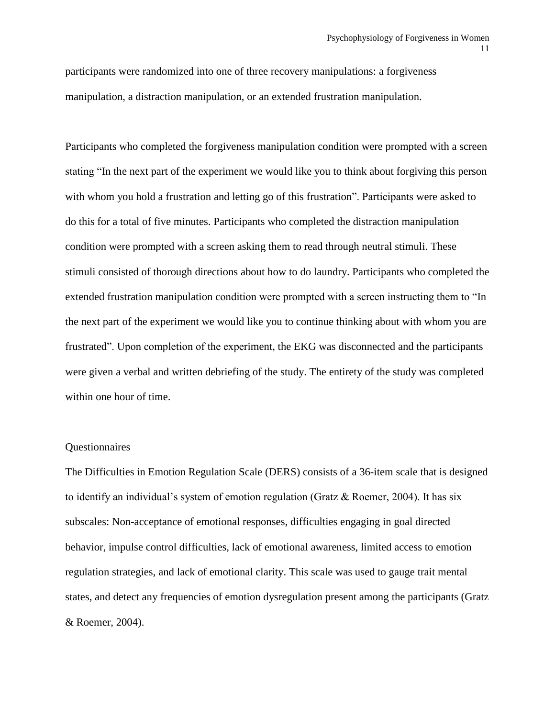participants were randomized into one of three recovery manipulations: a forgiveness manipulation, a distraction manipulation, or an extended frustration manipulation.

Participants who completed the forgiveness manipulation condition were prompted with a screen stating "In the next part of the experiment we would like you to think about forgiving this person with whom you hold a frustration and letting go of this frustration". Participants were asked to do this for a total of five minutes. Participants who completed the distraction manipulation condition were prompted with a screen asking them to read through neutral stimuli. These stimuli consisted of thorough directions about how to do laundry. Participants who completed the extended frustration manipulation condition were prompted with a screen instructing them to "In the next part of the experiment we would like you to continue thinking about with whom you are frustrated". Upon completion of the experiment, the EKG was disconnected and the participants were given a verbal and written debriefing of the study. The entirety of the study was completed within one hour of time.

### **Ouestionnaires**

The Difficulties in Emotion Regulation Scale (DERS) consists of a 36-item scale that is designed to identify an individual's system of emotion regulation (Gratz & Roemer, 2004). It has six subscales: Non-acceptance of emotional responses, difficulties engaging in goal directed behavior, impulse control difficulties, lack of emotional awareness, limited access to emotion regulation strategies, and lack of emotional clarity. This scale was used to gauge trait mental states, and detect any frequencies of emotion dysregulation present among the participants (Gratz & Roemer, 2004).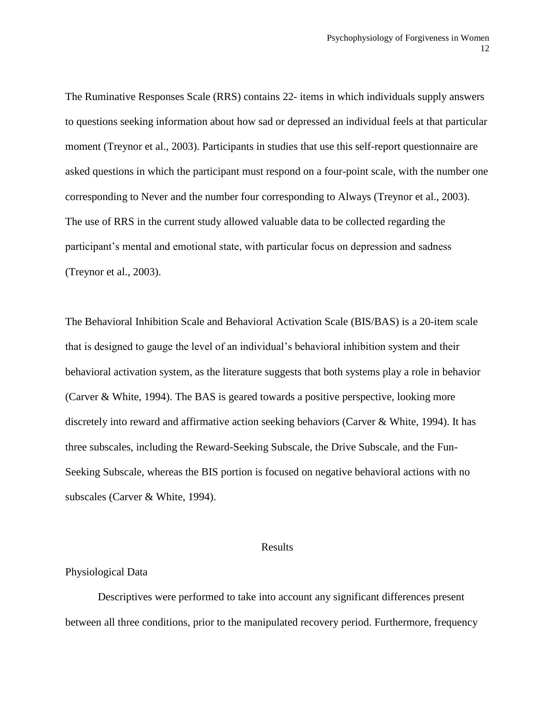The Ruminative Responses Scale (RRS) contains 22- items in which individuals supply answers to questions seeking information about how sad or depressed an individual feels at that particular moment (Treynor et al., 2003). Participants in studies that use this self-report questionnaire are asked questions in which the participant must respond on a four-point scale, with the number one corresponding to Never and the number four corresponding to Always (Treynor et al., 2003). The use of RRS in the current study allowed valuable data to be collected regarding the participant's mental and emotional state, with particular focus on depression and sadness (Treynor et al., 2003).

The Behavioral Inhibition Scale and Behavioral Activation Scale (BIS/BAS) is a 20-item scale that is designed to gauge the level of an individual's behavioral inhibition system and their behavioral activation system, as the literature suggests that both systems play a role in behavior (Carver & White, 1994). The BAS is geared towards a positive perspective, looking more discretely into reward and affirmative action seeking behaviors (Carver & White, 1994). It has three subscales, including the Reward-Seeking Subscale, the Drive Subscale, and the Fun-Seeking Subscale, whereas the BIS portion is focused on negative behavioral actions with no subscales (Carver & White, 1994).

#### Results

### Physiological Data

Descriptives were performed to take into account any significant differences present between all three conditions, prior to the manipulated recovery period. Furthermore, frequency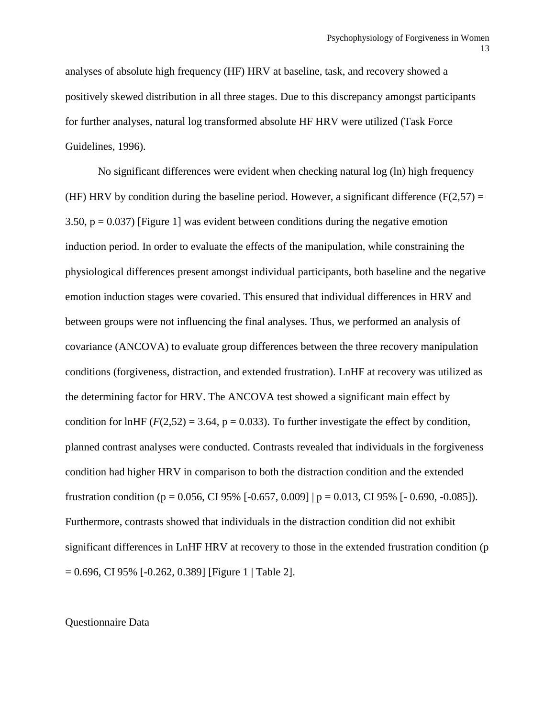analyses of absolute high frequency (HF) HRV at baseline, task, and recovery showed a positively skewed distribution in all three stages. Due to this discrepancy amongst participants for further analyses, natural log transformed absolute HF HRV were utilized (Task Force Guidelines, 1996).

No significant differences were evident when checking natural log (ln) high frequency (HF) HRV by condition during the baseline period. However, a significant difference ( $F(2,57) =$ 3.50,  $p = 0.037$  [Figure 1] was evident between conditions during the negative emotion induction period. In order to evaluate the effects of the manipulation, while constraining the physiological differences present amongst individual participants, both baseline and the negative emotion induction stages were covaried. This ensured that individual differences in HRV and between groups were not influencing the final analyses. Thus, we performed an analysis of covariance (ANCOVA) to evaluate group differences between the three recovery manipulation conditions (forgiveness, distraction, and extended frustration). LnHF at recovery was utilized as the determining factor for HRV. The ANCOVA test showed a significant main effect by condition for lnHF  $(F(2,52) = 3.64, p = 0.033)$ . To further investigate the effect by condition, planned contrast analyses were conducted. Contrasts revealed that individuals in the forgiveness condition had higher HRV in comparison to both the distraction condition and the extended frustration condition (p = 0.056, CI 95% [-0.657, 0.009] | p = 0.013, CI 95% [-0.690, -0.085]). Furthermore, contrasts showed that individuals in the distraction condition did not exhibit significant differences in LnHF HRV at recovery to those in the extended frustration condition (p  $= 0.696$ , CI 95% [-0.262, 0.389] [Figure 1 | Table 2].

#### Questionnaire Data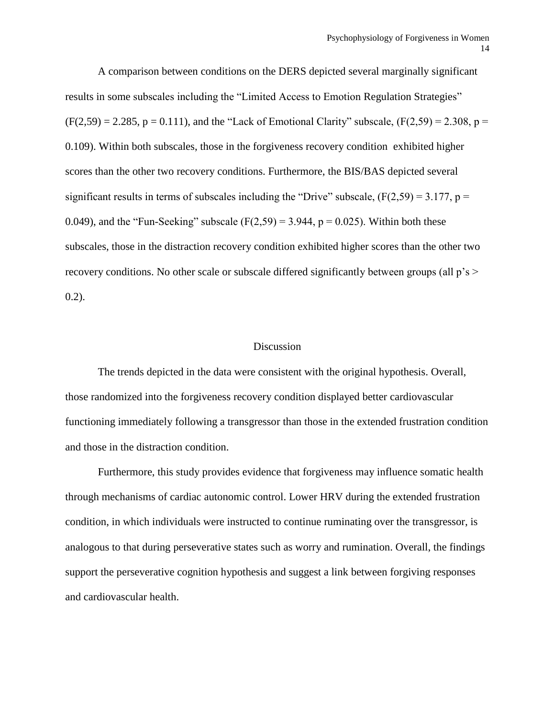A comparison between conditions on the DERS depicted several marginally significant results in some subscales including the "Limited Access to Emotion Regulation Strategies"  $(F(2,59) = 2.285, p = 0.111)$ , and the "Lack of Emotional Clarity" subscale,  $(F(2,59) = 2.308, p =$ 0.109). Within both subscales, those in the forgiveness recovery condition exhibited higher scores than the other two recovery conditions. Furthermore, the BIS/BAS depicted several significant results in terms of subscales including the "Drive" subscale,  $(F(2,59) = 3.177, p =$ 0.049), and the "Fun-Seeking" subscale  $(F(2,59) = 3.944, p = 0.025)$ . Within both these subscales, those in the distraction recovery condition exhibited higher scores than the other two recovery conditions. No other scale or subscale differed significantly between groups (all p's > 0.2).

### **Discussion**

The trends depicted in the data were consistent with the original hypothesis. Overall, those randomized into the forgiveness recovery condition displayed better cardiovascular functioning immediately following a transgressor than those in the extended frustration condition and those in the distraction condition.

Furthermore, this study provides evidence that forgiveness may influence somatic health through mechanisms of cardiac autonomic control. Lower HRV during the extended frustration condition, in which individuals were instructed to continue ruminating over the transgressor, is analogous to that during perseverative states such as worry and rumination. Overall, the findings support the perseverative cognition hypothesis and suggest a link between forgiving responses and cardiovascular health.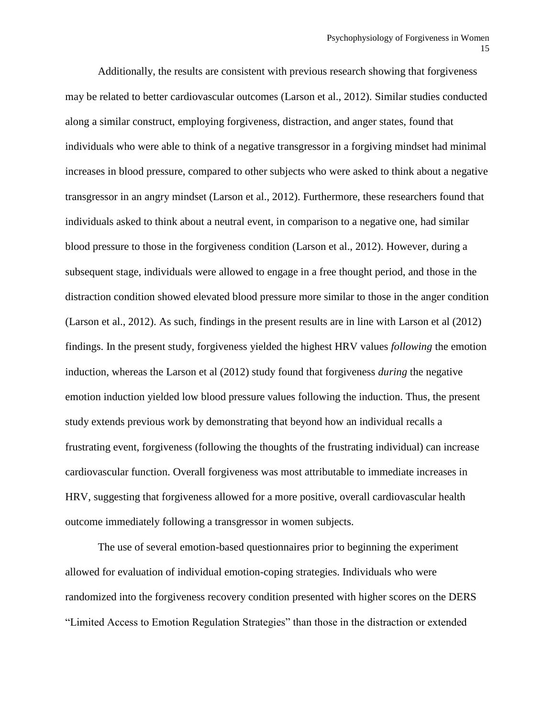Additionally, the results are consistent with previous research showing that forgiveness may be related to better cardiovascular outcomes (Larson et al., 2012). Similar studies conducted along a similar construct, employing forgiveness, distraction, and anger states, found that individuals who were able to think of a negative transgressor in a forgiving mindset had minimal increases in blood pressure, compared to other subjects who were asked to think about a negative transgressor in an angry mindset (Larson et al., 2012). Furthermore, these researchers found that individuals asked to think about a neutral event, in comparison to a negative one, had similar blood pressure to those in the forgiveness condition (Larson et al., 2012). However, during a subsequent stage, individuals were allowed to engage in a free thought period, and those in the distraction condition showed elevated blood pressure more similar to those in the anger condition (Larson et al., 2012). As such, findings in the present results are in line with Larson et al (2012) findings. In the present study, forgiveness yielded the highest HRV values *following* the emotion induction, whereas the Larson et al (2012) study found that forgiveness *during* the negative emotion induction yielded low blood pressure values following the induction. Thus, the present study extends previous work by demonstrating that beyond how an individual recalls a frustrating event, forgiveness (following the thoughts of the frustrating individual) can increase cardiovascular function. Overall forgiveness was most attributable to immediate increases in HRV, suggesting that forgiveness allowed for a more positive, overall cardiovascular health outcome immediately following a transgressor in women subjects.

The use of several emotion-based questionnaires prior to beginning the experiment allowed for evaluation of individual emotion-coping strategies. Individuals who were randomized into the forgiveness recovery condition presented with higher scores on the DERS "Limited Access to Emotion Regulation Strategies" than those in the distraction or extended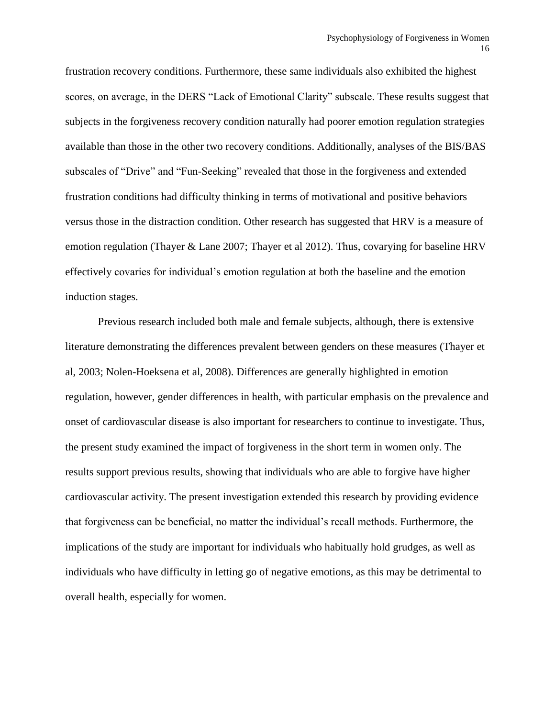frustration recovery conditions. Furthermore, these same individuals also exhibited the highest scores, on average, in the DERS "Lack of Emotional Clarity" subscale. These results suggest that subjects in the forgiveness recovery condition naturally had poorer emotion regulation strategies available than those in the other two recovery conditions. Additionally, analyses of the BIS/BAS subscales of "Drive" and "Fun-Seeking" revealed that those in the forgiveness and extended frustration conditions had difficulty thinking in terms of motivational and positive behaviors versus those in the distraction condition. Other research has suggested that HRV is a measure of emotion regulation (Thayer & Lane 2007; Thayer et al 2012). Thus, covarying for baseline HRV effectively covaries for individual's emotion regulation at both the baseline and the emotion induction stages.

Previous research included both male and female subjects, although, there is extensive literature demonstrating the differences prevalent between genders on these measures (Thayer et al, 2003; Nolen-Hoeksena et al, 2008). Differences are generally highlighted in emotion regulation, however, gender differences in health, with particular emphasis on the prevalence and onset of cardiovascular disease is also important for researchers to continue to investigate. Thus, the present study examined the impact of forgiveness in the short term in women only. The results support previous results, showing that individuals who are able to forgive have higher cardiovascular activity. The present investigation extended this research by providing evidence that forgiveness can be beneficial, no matter the individual's recall methods. Furthermore, the implications of the study are important for individuals who habitually hold grudges, as well as individuals who have difficulty in letting go of negative emotions, as this may be detrimental to overall health, especially for women.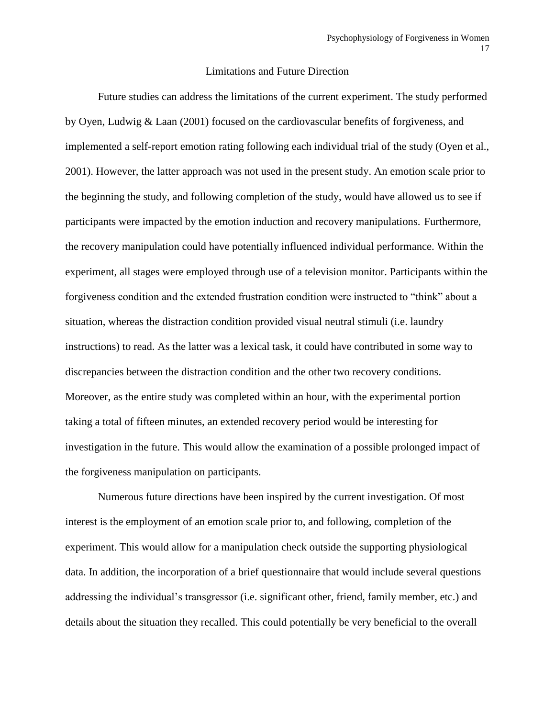### Limitations and Future Direction

Future studies can address the limitations of the current experiment. The study performed by Oyen, Ludwig & Laan (2001) focused on the cardiovascular benefits of forgiveness, and implemented a self-report emotion rating following each individual trial of the study (Oyen et al., 2001). However, the latter approach was not used in the present study. An emotion scale prior to the beginning the study, and following completion of the study, would have allowed us to see if participants were impacted by the emotion induction and recovery manipulations. Furthermore, the recovery manipulation could have potentially influenced individual performance. Within the experiment, all stages were employed through use of a television monitor. Participants within the forgiveness condition and the extended frustration condition were instructed to "think" about a situation, whereas the distraction condition provided visual neutral stimuli (i.e. laundry instructions) to read. As the latter was a lexical task, it could have contributed in some way to discrepancies between the distraction condition and the other two recovery conditions. Moreover, as the entire study was completed within an hour, with the experimental portion taking a total of fifteen minutes, an extended recovery period would be interesting for investigation in the future. This would allow the examination of a possible prolonged impact of the forgiveness manipulation on participants.

 Numerous future directions have been inspired by the current investigation. Of most interest is the employment of an emotion scale prior to, and following, completion of the experiment. This would allow for a manipulation check outside the supporting physiological data. In addition, the incorporation of a brief questionnaire that would include several questions addressing the individual's transgressor (i.e. significant other, friend, family member, etc.) and details about the situation they recalled. This could potentially be very beneficial to the overall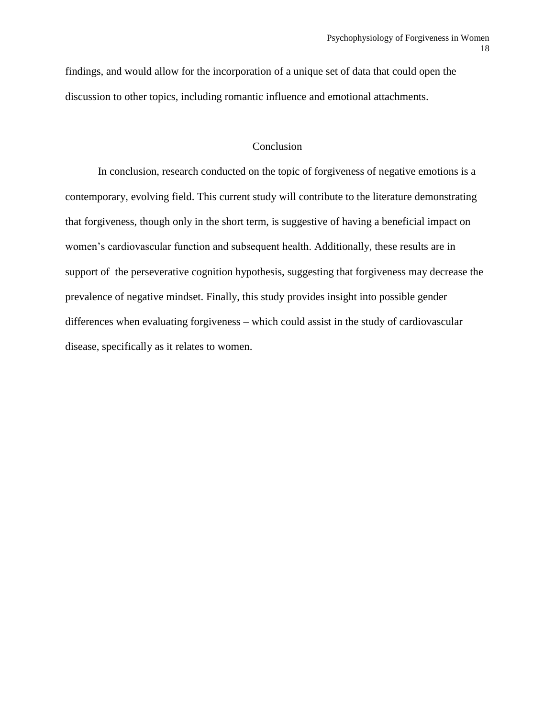findings, and would allow for the incorporation of a unique set of data that could open the discussion to other topics, including romantic influence and emotional attachments.

### **Conclusion**

In conclusion, research conducted on the topic of forgiveness of negative emotions is a contemporary, evolving field. This current study will contribute to the literature demonstrating that forgiveness, though only in the short term, is suggestive of having a beneficial impact on women's cardiovascular function and subsequent health. Additionally, these results are in support of the perseverative cognition hypothesis, suggesting that forgiveness may decrease the prevalence of negative mindset. Finally, this study provides insight into possible gender differences when evaluating forgiveness – which could assist in the study of cardiovascular disease, specifically as it relates to women.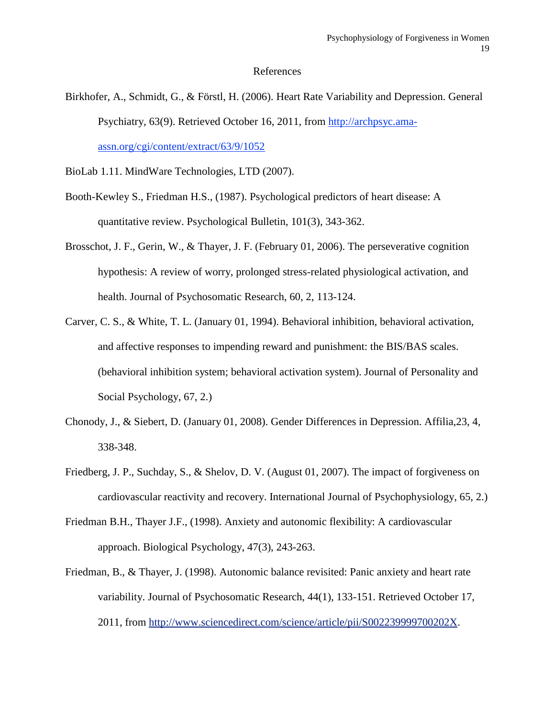#### References

- Birkhofer, A., Schmidt, G., & Förstl, H. (2006). Heart Rate Variability and Depression. General Psychiatry, 63(9). Retrieved October 16, 2011, from [http://archpsyc.ama](http://archpsyc.ama-assn.org/cgi/content/extract/63/9/1052)[assn.org/cgi/content/extract/63/9/1052](http://archpsyc.ama-assn.org/cgi/content/extract/63/9/1052)
- BioLab 1.11. MindWare Technologies, LTD (2007).
- Booth-Kewley S., Friedman H.S., (1987). Psychological predictors of heart disease: A quantitative review. Psychological Bulletin, 101(3), 343-362.
- Brosschot, J. F., Gerin, W., & Thayer, J. F. (February 01, 2006). The perseverative cognition hypothesis: A review of worry, prolonged stress-related physiological activation, and health. Journal of Psychosomatic Research, 60, 2, 113-124.
- Carver, C. S., & White, T. L. (January 01, 1994). Behavioral inhibition, behavioral activation, and affective responses to impending reward and punishment: the BIS/BAS scales. (behavioral inhibition system; behavioral activation system). Journal of Personality and Social Psychology, 67, 2.)
- Chonody, J., & Siebert, D. (January 01, 2008). Gender Differences in Depression. Affilia,23, 4, 338-348.
- Friedberg, J. P., Suchday, S., & Shelov, D. V. (August 01, 2007). The impact of forgiveness on cardiovascular reactivity and recovery. International Journal of Psychophysiology, 65, 2.)
- Friedman B.H., Thayer J.F., (1998). Anxiety and autonomic flexibility: A cardiovascular approach. Biological Psychology, 47(3), 243-263.
- Friedman, B., & Thayer, J. (1998). Autonomic balance revisited: Panic anxiety and heart rate variability. Journal of Psychosomatic Research, 44(1), 133-151. Retrieved October 17, 2011, from [http://www.sciencedirect.com/science/article/pii/S002239999700202X.](http://www.sciencedirect.com/science/article/pii/S002239999700202X)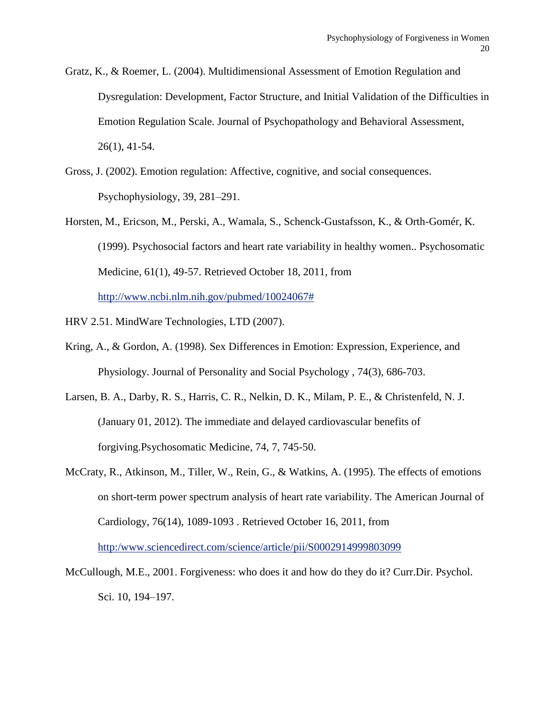- Gratz, K., & Roemer, L. (2004). Multidimensional Assessment of Emotion Regulation and Dysregulation: Development, Factor Structure, and Initial Validation of the Difficulties in Emotion Regulation Scale. Journal of Psychopathology and Behavioral Assessment, 26(1), 41-54.
- Gross, J. (2002). Emotion regulation: Affective, cognitive, and social consequences. Psychophysiology, 39, 281–291.
- Horsten, M., Ericson, M., Perski, A., Wamala, S., Schenck-Gustafsson, K., & Orth-Gomér, K. (1999). Psychosocial factors and heart rate variability in healthy women.. Psychosomatic Medicine, 61(1), 49-57. Retrieved October 18, 2011, from <http://www.ncbi.nlm.nih.gov/pubmed/10024067#>
- HRV 2.51. MindWare Technologies, LTD (2007).
- Kring, A., & Gordon, A. (1998). Sex Differences in Emotion: Expression, Experience, and Physiology. Journal of Personality and Social Psychology , 74(3), 686-703.
- Larsen, B. A., Darby, R. S., Harris, C. R., Nelkin, D. K., Milam, P. E., & Christenfeld, N. J. (January 01, 2012). The immediate and delayed cardiovascular benefits of forgiving.Psychosomatic Medicine, 74, 7, 745-50.
- McCraty, R., Atkinson, M., Tiller, W., Rein, G., & Watkins, A. (1995). The effects of emotions on short-term power spectrum analysis of heart rate variability. The American Journal of Cardiology, 76(14), 1089-1093 . Retrieved October 16, 2011, from [http:/www.sciencedirect.com/science/article/pii/S0002914999803099](http://www.sciencedirect.com/science/article/pii/S0002914999803099)
- McCullough, M.E., 2001. Forgiveness: who does it and how do they do it? Curr.Dir. Psychol. Sci. 10, 194–197.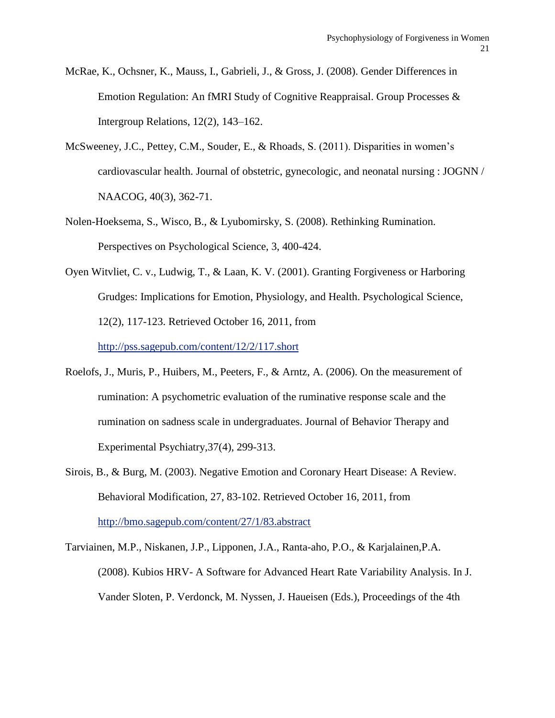- McRae, K., Ochsner, K., Mauss, I., Gabrieli, J., & Gross, J. (2008). Gender Differences in Emotion Regulation: An fMRI Study of Cognitive Reappraisal. Group Processes & Intergroup Relations, 12(2), 143–162.
- McSweeney, J.C., Pettey, C.M., Souder, E., & Rhoads, S. (2011). Disparities in women's cardiovascular health. Journal of obstetric, gynecologic, and neonatal nursing : JOGNN / NAACOG, 40(3), 362-71.
- Nolen-Hoeksema, S., Wisco, B., & Lyubomirsky, S. (2008). Rethinking Rumination. Perspectives on Psychological Science, 3, 400-424.
- Oyen Witvliet, C. v., Ludwig, T., & Laan, K. V. (2001). Granting Forgiveness or Harboring Grudges: Implications for Emotion, Physiology, and Health. Psychological Science, 12(2), 117-123. Retrieved October 16, 2011, from <http://pss.sagepub.com/content/12/2/117.short>

Roelofs, J., Muris, P., Huibers, M., Peeters, F., & Arntz, A. (2006). On the measurement of rumination: A psychometric evaluation of the ruminative response scale and the rumination on sadness scale in undergraduates. Journal of Behavior Therapy and Experimental Psychiatry,37(4), 299-313.

Sirois, B., & Burg, M. (2003). Negative Emotion and Coronary Heart Disease: A Review. Behavioral Modification, 27, 83-102. Retrieved October 16, 2011, from

<http://bmo.sagepub.com/content/27/1/83.abstract>

Tarviainen, M.P., Niskanen, J.P., Lipponen, J.A., Ranta-aho, P.O., & Karjalainen,P.A. (2008). Kubios HRV- A Software for Advanced Heart Rate Variability Analysis. In J. Vander Sloten, P. Verdonck, M. Nyssen, J. Haueisen (Eds.), Proceedings of the 4th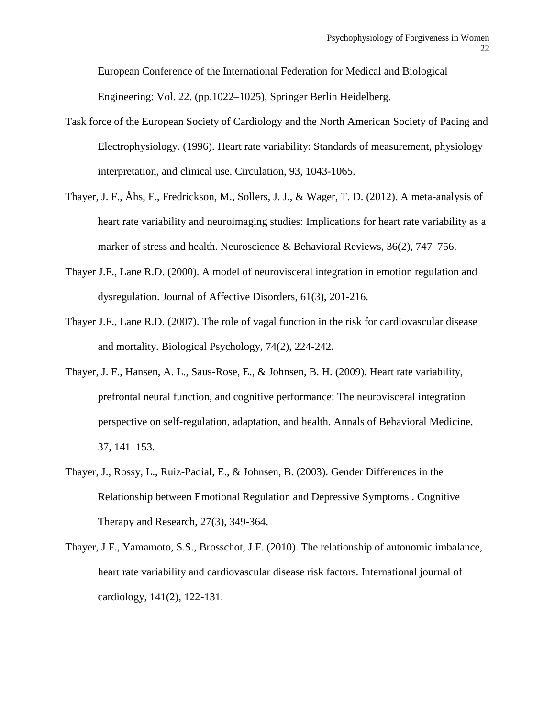European Conference of the International Federation for Medical and Biological Engineering: Vol. 22. (pp.1022–1025), Springer Berlin Heidelberg.

- Task force of the European Society of Cardiology and the North American Society of Pacing and Electrophysiology. (1996). Heart rate variability: Standards of measurement, physiology interpretation, and clinical use. Circulation, 93, 1043-1065.
- Thayer, J. F., Åhs, F., Fredrickson, M., Sollers, J. J., & Wager, T. D. (2012). A meta-analysis of heart rate variability and neuroimaging studies: Implications for heart rate variability as a marker of stress and health. Neuroscience & Behavioral Reviews, 36(2), 747–756.
- Thayer J.F., Lane R.D. (2000). A model of neurovisceral integration in emotion regulation and dysregulation. Journal of Affective Disorders, 61(3), 201-216.
- Thayer J.F., Lane R.D. (2007). The role of vagal function in the risk for cardiovascular disease and mortality. Biological Psychology, 74(2), 224-242.
- Thayer, J. F., Hansen, A. L., Saus-Rose, E., & Johnsen, B. H. (2009). Heart rate variability, prefrontal neural function, and cognitive performance: The neurovisceral integration perspective on self-regulation, adaptation, and health. Annals of Behavioral Medicine, 37, 141–153.
- Thayer, J., Rossy, L., Ruiz-Padial, E., & Johnsen, B. (2003). Gender Differences in the Relationship between Emotional Regulation and Depressive Symptoms . Cognitive Therapy and Research, 27(3), 349-364.
- Thayer, J.F., Yamamoto, S.S., Brosschot, J.F. (2010). The relationship of autonomic imbalance, heart rate variability and cardiovascular disease risk factors. International journal of cardiology, 141(2), 122-131.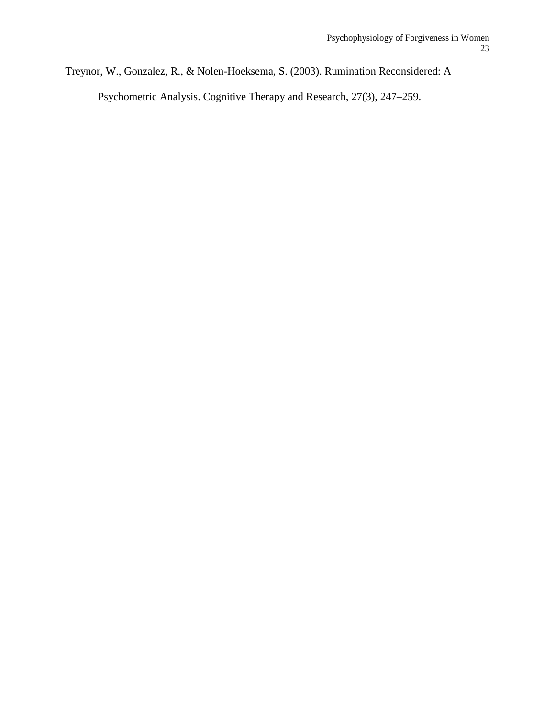Treynor, W., Gonzalez, R., & Nolen-Hoeksema, S. (2003). Rumination Reconsidered: A

Psychometric Analysis. Cognitive Therapy and Research, 27(3), 247–259.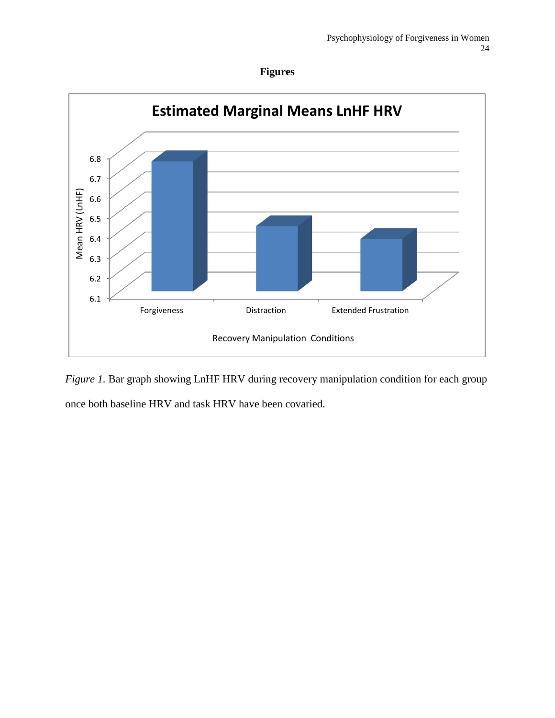



*Figure 1.* Bar graph showing LnHF HRV during recovery manipulation condition for each group once both baseline HRV and task HRV have been covaried.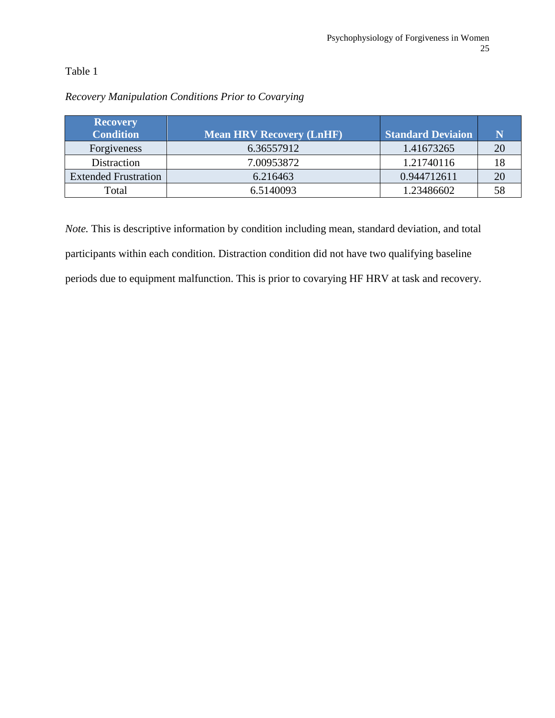## Table 1

| <b>Recovery</b><br><b>Condition</b> | <b>Mean HRV Recovery (LnHF)</b> | <b>Standard Deviaion</b> |    |
|-------------------------------------|---------------------------------|--------------------------|----|
| Forgiveness                         | 6.36557912                      | 1.41673265               |    |
| Distraction                         | 7.00953872                      | 1.21740116               |    |
| <b>Extended Frustration</b>         | 6.216463                        | 0.944712611              | 20 |
| Total                               | 6.5140093                       | 1.23486602               |    |

## *Recovery Manipulation Conditions Prior to Covarying*

*Note.* This is descriptive information by condition including mean, standard deviation, and total participants within each condition. Distraction condition did not have two qualifying baseline periods due to equipment malfunction. This is prior to covarying HF HRV at task and recovery.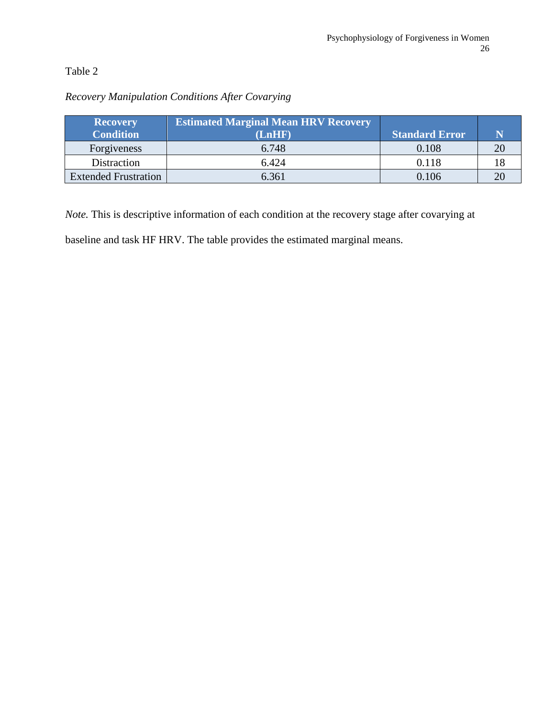### Table 2

#### **Recovery Condition Estimated Marginal Mean HRV Recovery (LnHF) Standard Error N** Forgiveness 1 6.748 0.108 20

### *Recovery Manipulation Conditions After Covarying*

*Note.* This is descriptive information of each condition at the recovery stage after covarying at

Distraction 18 6.424 0.118 18 Extended Frustration 1 6.361 0.106 20

baseline and task HF HRV. The table provides the estimated marginal means.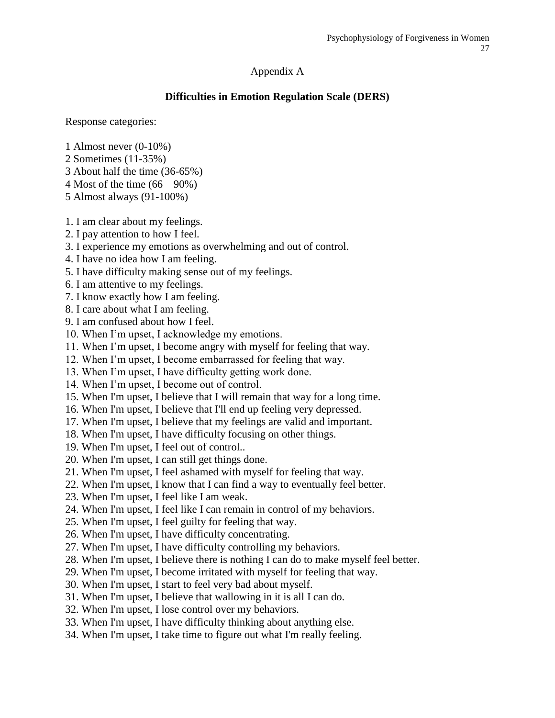### Appendix A

### **Difficulties in Emotion Regulation Scale (DERS)**

Response categories:

- 1 Almost never (0-10%)
- 2 Sometimes (11-35%)
- 3 About half the time (36-65%)
- 4 Most of the time (66 90%)
- 5 Almost always (91-100%)
- 1. I am clear about my feelings.
- 2. I pay attention to how I feel.
- 3. I experience my emotions as overwhelming and out of control.
- 4. I have no idea how I am feeling.
- 5. I have difficulty making sense out of my feelings.
- 6. I am attentive to my feelings.
- 7. I know exactly how I am feeling.
- 8. I care about what I am feeling.
- 9. I am confused about how I feel.
- 10. When I'm upset, I acknowledge my emotions.
- 11. When I'm upset, I become angry with myself for feeling that way.
- 12. When I'm upset, I become embarrassed for feeling that way.
- 13. When I'm upset, I have difficulty getting work done.
- 14. When I'm upset, I become out of control.
- 15. When I'm upset, I believe that I will remain that way for a long time.
- 16. When I'm upset, I believe that I'll end up feeling very depressed.
- 17. When I'm upset, I believe that my feelings are valid and important.
- 18. When I'm upset, I have difficulty focusing on other things.
- 19. When I'm upset, I feel out of control..
- 20. When I'm upset, I can still get things done.
- 21. When I'm upset, I feel ashamed with myself for feeling that way.
- 22. When I'm upset, I know that I can find a way to eventually feel better.
- 23. When I'm upset, I feel like I am weak.
- 24. When I'm upset, I feel like I can remain in control of my behaviors.
- 25. When I'm upset, I feel guilty for feeling that way.
- 26. When I'm upset, I have difficulty concentrating.
- 27. When I'm upset, I have difficulty controlling my behaviors.
- 28. When I'm upset, I believe there is nothing I can do to make myself feel better.
- 29. When I'm upset, I become irritated with myself for feeling that way.
- 30. When I'm upset, I start to feel very bad about myself.
- 31. When I'm upset, I believe that wallowing in it is all I can do.
- 32. When I'm upset, I lose control over my behaviors.
- 33. When I'm upset, I have difficulty thinking about anything else.
- 34. When I'm upset, I take time to figure out what I'm really feeling.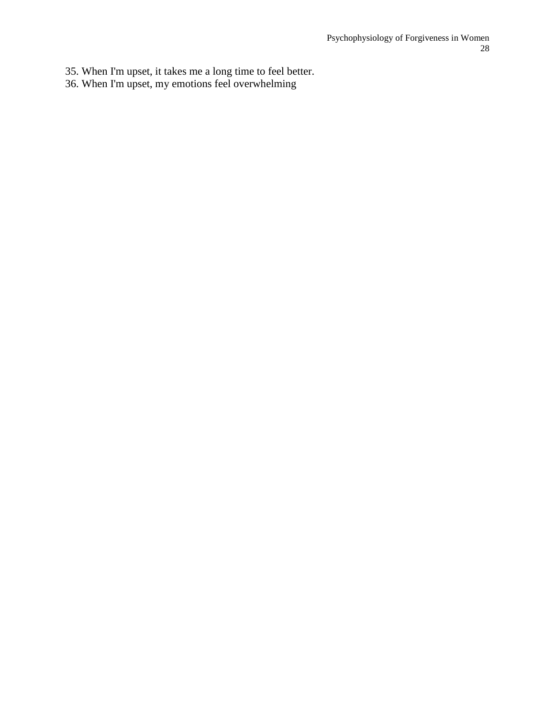- 35. When I'm upset, it takes me a long time to feel better.
- 36. When I'm upset, my emotions feel overwhelming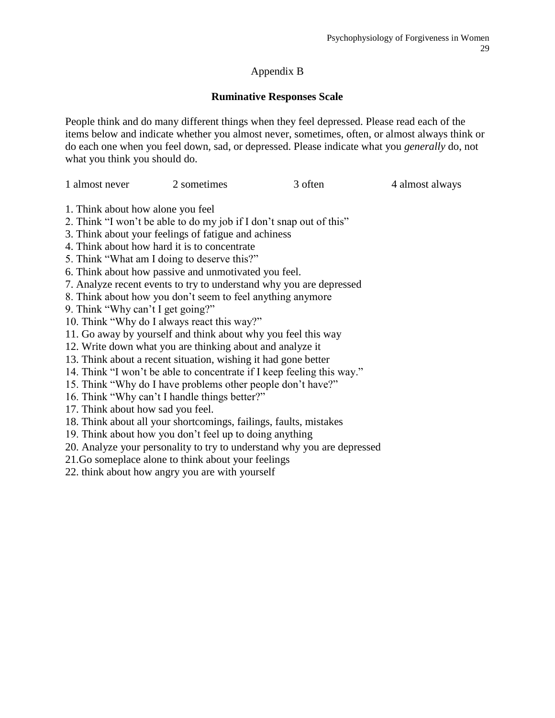4 almost always

## Appendix B

### **Ruminative Responses Scale**

People think and do many different things when they feel depressed. Please read each of the items below and indicate whether you almost never, sometimes, often, or almost always think or do each one when you feel down, sad, or depressed. Please indicate what you *generally* do, not what you think you should do.

|  | 1 almost never | 2 sometimes | 3 often |
|--|----------------|-------------|---------|
|--|----------------|-------------|---------|

- 1. Think about how alone you feel
- 2. Think "I won't be able to do my job if I don't snap out of this"
- 3. Think about your feelings of fatigue and achiness
- 4. Think about how hard it is to concentrate
- 5. Think "What am I doing to deserve this?"
- 6. Think about how passive and unmotivated you feel.
- 7. Analyze recent events to try to understand why you are depressed
- 8. Think about how you don't seem to feel anything anymore
- 9. Think "Why can't I get going?"
- 10. Think "Why do I always react this way?"
- 11. Go away by yourself and think about why you feel this way
- 12. Write down what you are thinking about and analyze it
- 13. Think about a recent situation, wishing it had gone better
- 14. Think "I won't be able to concentrate if I keep feeling this way."
- 15. Think "Why do I have problems other people don't have?"
- 16. Think "Why can't I handle things better?"
- 17. Think about how sad you feel.
- 18. Think about all your shortcomings, failings, faults, mistakes
- 19. Think about how you don't feel up to doing anything
- 20. Analyze your personality to try to understand why you are depressed
- 21.Go someplace alone to think about your feelings
- 22. think about how angry you are with yourself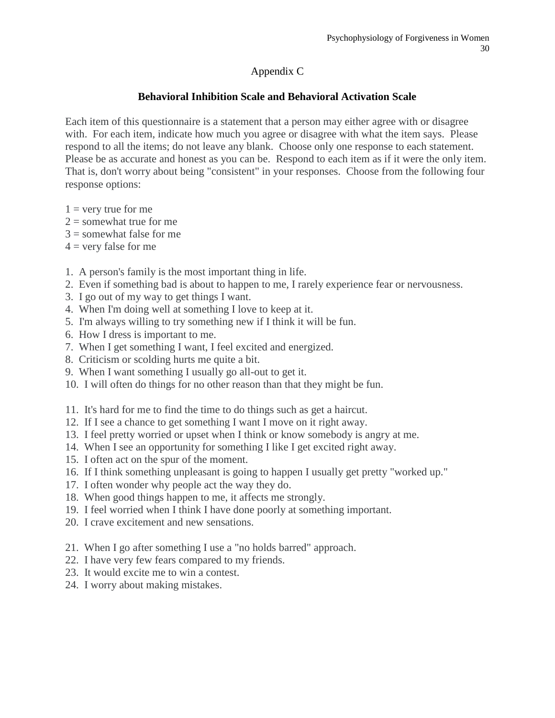# Appendix C

# **Behavioral Inhibition Scale and Behavioral Activation Scale**

Each item of this questionnaire is a statement that a person may either agree with or disagree with. For each item, indicate how much you agree or disagree with what the item says. Please respond to all the items; do not leave any blank. Choose only one response to each statement. Please be as accurate and honest as you can be. Respond to each item as if it were the only item. That is, don't worry about being "consistent" in your responses. Choose from the following four response options:

- $1 =$  very true for me
- $2 =$ somewhat true for me
- $3 =$ somewhat false for me
- $4 =$  very false for me
- 1. A person's family is the most important thing in life.
- 2. Even if something bad is about to happen to me, I rarely experience fear or nervousness.
- 3. I go out of my way to get things I want.
- 4. When I'm doing well at something I love to keep at it.
- 5. I'm always willing to try something new if I think it will be fun.
- 6. How I dress is important to me.
- 7. When I get something I want, I feel excited and energized.
- 8. Criticism or scolding hurts me quite a bit.
- 9. When I want something I usually go all-out to get it.
- 10. I will often do things for no other reason than that they might be fun.
- 11. It's hard for me to find the time to do things such as get a haircut.
- 12. If I see a chance to get something I want I move on it right away.
- 13. I feel pretty worried or upset when I think or know somebody is angry at me.
- 14. When I see an opportunity for something I like I get excited right away.
- 15. I often act on the spur of the moment.
- 16. If I think something unpleasant is going to happen I usually get pretty "worked up."
- 17. I often wonder why people act the way they do.
- 18. When good things happen to me, it affects me strongly.
- 19. I feel worried when I think I have done poorly at something important.
- 20. I crave excitement and new sensations.
- 21. When I go after something I use a "no holds barred" approach.
- 22. I have very few fears compared to my friends.
- 23. It would excite me to win a contest.
- 24. I worry about making mistakes.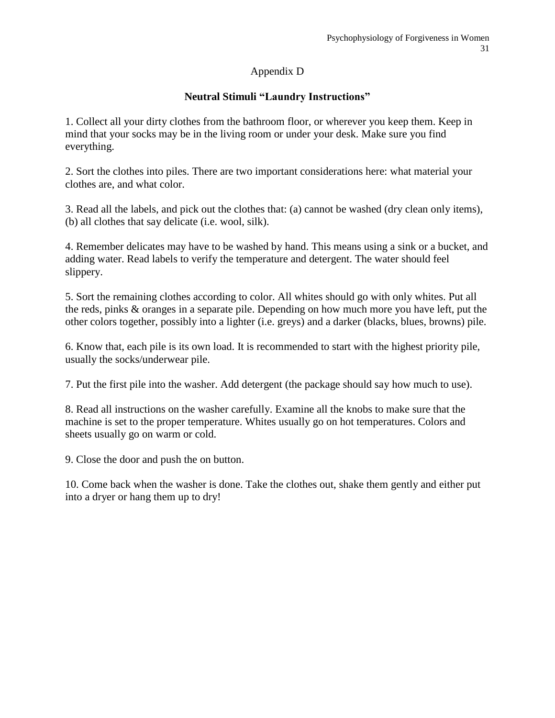## Appendix D

# **Neutral Stimuli "Laundry Instructions"**

1. Collect all your dirty clothes from the bathroom floor, or wherever you keep them. Keep in mind that your socks may be in the living room or under your desk. Make sure you find everything.

2. Sort the clothes into piles. There are two important considerations here: what material your clothes are, and what color.

3. Read all the labels, and pick out the clothes that: (a) cannot be washed (dry clean only items), (b) all clothes that say delicate (i.e. wool, silk).

4. Remember delicates may have to be washed by hand. This means using a sink or a bucket, and adding water. Read labels to verify the temperature and detergent. The water should feel slippery.

5. Sort the remaining clothes according to color. All whites should go with only whites. Put all the reds, pinks & oranges in a separate pile. Depending on how much more you have left, put the other colors together, possibly into a lighter (i.e. greys) and a darker (blacks, blues, browns) pile.

6. Know that, each pile is its own load. It is recommended to start with the highest priority pile, usually the socks/underwear pile.

7. Put the first pile into the washer. Add detergent (the package should say how much to use).

8. Read all instructions on the washer carefully. Examine all the knobs to make sure that the machine is set to the proper temperature. Whites usually go on hot temperatures. Colors and sheets usually go on warm or cold.

9. Close the door and push the on button.

10. Come back when the washer is done. Take the clothes out, shake them gently and either put into a dryer or hang them up to dry!